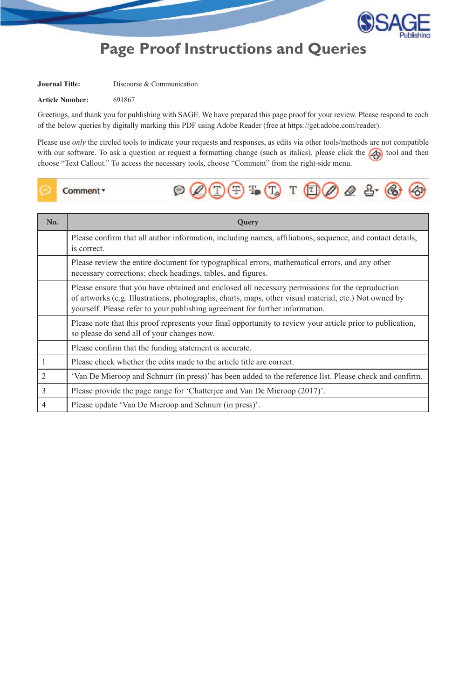

# **Page Proof Instructions and Queries**

**Journal Title:** Discourse & Communication

#### **Article Number:** 691867

Greetings, and thank you for publishing with SAGE. We have prepared this page proof for your review. Please respond to each of the below queries by digitally marking this PDF using Adobe Reader (free at https://get.adobe.com/reader).

Please use *only* the circled tools to indicate your requests and responses, as edits via other tools/methods are not compatible with our software. To ask a question or request a formatting change (such as italics), please click the  $\overline{A}$  tool and then choose "Text Callout." To access the necessary tools, choose "Comment" from the right-side menu.



Comment \*



| No.            | Query                                                                                                                                                                                                                                                                                     |
|----------------|-------------------------------------------------------------------------------------------------------------------------------------------------------------------------------------------------------------------------------------------------------------------------------------------|
|                | Please confirm that all author information, including names, affiliations, sequence, and contact details,<br>is correct.                                                                                                                                                                  |
|                | Please review the entire document for typographical errors, mathematical errors, and any other<br>necessary corrections; check headings, tables, and figures.                                                                                                                             |
|                | Please ensure that you have obtained and enclosed all necessary permissions for the reproduction<br>of artworks (e.g. Illustrations, photographs, charts, maps, other visual material, etc.) Not owned by<br>yourself. Please refer to your publishing agreement for further information. |
|                | Please note that this proof represents your final opportunity to review your article prior to publication,<br>so please do send all of your changes now.                                                                                                                                  |
|                | Please confirm that the funding statement is accurate.                                                                                                                                                                                                                                    |
|                | Please check whether the edits made to the article title are correct.                                                                                                                                                                                                                     |
| $\overline{c}$ | 'Van De Mieroop and Schnurr (in press)' has been added to the reference list. Please check and confirm.                                                                                                                                                                                   |
| $\mathcal{E}$  | Please provide the page range for 'Chatterjee and Van De Mieroop (2017)'.                                                                                                                                                                                                                 |
| 4              | Please update 'Van De Mieroop and Schnurr (in press)'.                                                                                                                                                                                                                                    |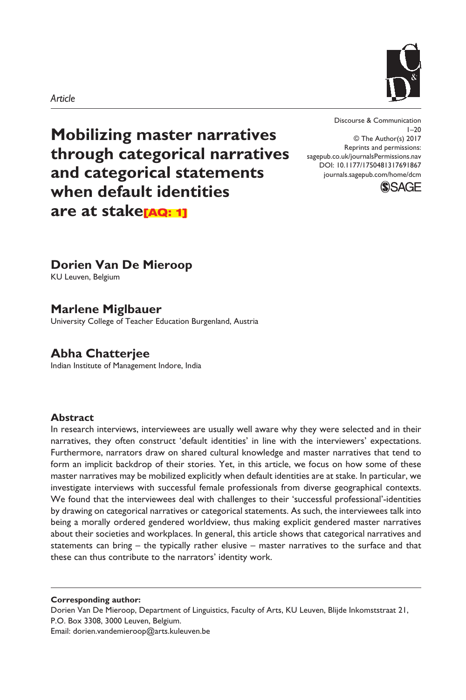#### *Article*



https://doi.org/10.1177/1750481317691867 DOI: 10.1177/1750481317691867 Discourse & Communication  $1 - 20$ © The Author(s) 2017 Reprints and permissions: sagepub.co.uk/journalsPermissions.nav journals.sagepub.com/home/dcm



**Mobilizing master narratives through categorical narratives and categorical statements when default identities**  are at stake<sub>[AQ: 1]</sub>

## **Dorien Van De Mieroop**

KU Leuven, Belgium

## **Marlene Miglbauer**

University College of Teacher Education Burgenland, Austria

## **Abha Chatterjee**

Indian Institute of Management Indore, India

## **Abstract**

In research interviews, interviewees are usually well aware why they were selected and in their narratives, they often construct 'default identities' in line with the interviewers' expectations. Furthermore, narrators draw on shared cultural knowledge and master narratives that tend to form an implicit backdrop of their stories. Yet, in this article, we focus on how some of these master narratives may be mobilized explicitly when default identities are at stake. In particular, we investigate interviews with successful female professionals from diverse geographical contexts. We found that the interviewees deal with challenges to their 'successful professional'-identities by drawing on categorical narratives or categorical statements. As such, the interviewees talk into being a morally ordered gendered worldview, thus making explicit gendered master narratives about their societies and workplaces. In general, this article shows that categorical narratives and statements can bring – the typically rather elusive – master narratives to the surface and that these can thus contribute to the narrators' identity work.

#### **Corresponding author:**

Dorien Van De Mieroop, Department of Linguistics, Faculty of Arts, KU Leuven, Blijde Inkomststraat 21, P.O. Box 3308, 3000 Leuven, Belgium.

Email: dorien.vandemieroop@arts.kuleuven.be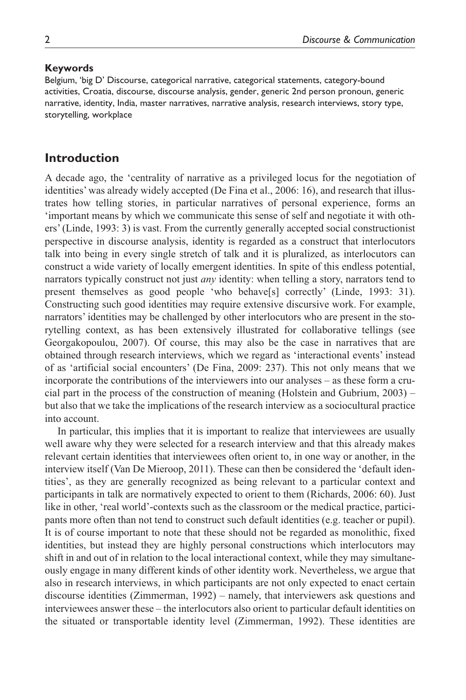#### **Keywords**

Belgium, 'big D' Discourse, categorical narrative, categorical statements, category-bound activities, Croatia, discourse, discourse analysis, gender, generic 2nd person pronoun, generic narrative, identity, India, master narratives, narrative analysis, research interviews, story type, storytelling, workplace

### **Introduction**

A decade ago, the 'centrality of narrative as a privileged locus for the negotiation of identities' was already widely accepted (De Fina et al., 2006: 16), and research that illustrates how telling stories, in particular narratives of personal experience, forms an 'important means by which we communicate this sense of self and negotiate it with others' (Linde, 1993: 3) is vast. From the currently generally accepted social constructionist perspective in discourse analysis, identity is regarded as a construct that interlocutors talk into being in every single stretch of talk and it is pluralized, as interlocutors can construct a wide variety of locally emergent identities. In spite of this endless potential, narrators typically construct not just *any* identity: when telling a story, narrators tend to present themselves as good people 'who behave[s] correctly' (Linde, 1993: 31). Constructing such good identities may require extensive discursive work. For example, narrators' identities may be challenged by other interlocutors who are present in the storytelling context, as has been extensively illustrated for collaborative tellings (see Georgakopoulou, 2007). Of course, this may also be the case in narratives that are obtained through research interviews, which we regard as 'interactional events' instead of as 'artificial social encounters' (De Fina, 2009: 237). This not only means that we incorporate the contributions of the interviewers into our analyses – as these form a crucial part in the process of the construction of meaning (Holstein and Gubrium, 2003) – but also that we take the implications of the research interview as a sociocultural practice into account.

In particular, this implies that it is important to realize that interviewees are usually well aware why they were selected for a research interview and that this already makes relevant certain identities that interviewees often orient to, in one way or another, in the interview itself (Van De Mieroop, 2011). These can then be considered the 'default identities', as they are generally recognized as being relevant to a particular context and participants in talk are normatively expected to orient to them (Richards, 2006: 60). Just like in other, 'real world'-contexts such as the classroom or the medical practice, participants more often than not tend to construct such default identities (e.g. teacher or pupil). It is of course important to note that these should not be regarded as monolithic, fixed identities, but instead they are highly personal constructions which interlocutors may shift in and out of in relation to the local interactional context, while they may simultaneously engage in many different kinds of other identity work. Nevertheless, we argue that also in research interviews, in which participants are not only expected to enact certain discourse identities (Zimmerman, 1992) – namely, that interviewers ask questions and interviewees answer these – the interlocutors also orient to particular default identities on the situated or transportable identity level (Zimmerman, 1992). These identities are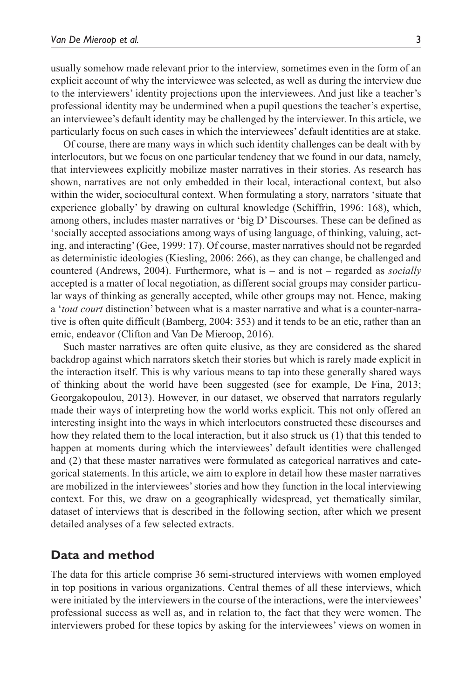usually somehow made relevant prior to the interview, sometimes even in the form of an explicit account of why the interviewee was selected, as well as during the interview due to the interviewers' identity projections upon the interviewees. And just like a teacher's professional identity may be undermined when a pupil questions the teacher's expertise, an interviewee's default identity may be challenged by the interviewer. In this article, we particularly focus on such cases in which the interviewees' default identities are at stake.

Of course, there are many ways in which such identity challenges can be dealt with by interlocutors, but we focus on one particular tendency that we found in our data, namely, that interviewees explicitly mobilize master narratives in their stories. As research has shown, narratives are not only embedded in their local, interactional context, but also within the wider, sociocultural context. When formulating a story, narrators 'situate that experience globally' by drawing on cultural knowledge (Schiffrin, 1996: 168), which, among others, includes master narratives or 'big D' Discourses. These can be defined as 'socially accepted associations among ways of using language, of thinking, valuing, acting, and interacting' (Gee, 1999: 17). Of course, master narratives should not be regarded as deterministic ideologies (Kiesling, 2006: 266), as they can change, be challenged and countered (Andrews, 2004). Furthermore, what is – and is not – regarded as *socially* accepted is a matter of local negotiation, as different social groups may consider particular ways of thinking as generally accepted, while other groups may not. Hence, making a '*tout court* distinction' between what is a master narrative and what is a counter-narrative is often quite difficult (Bamberg, 2004: 353) and it tends to be an etic, rather than an emic, endeavor (Clifton and Van De Mieroop, 2016).

Such master narratives are often quite elusive, as they are considered as the shared backdrop against which narrators sketch their stories but which is rarely made explicit in the interaction itself. This is why various means to tap into these generally shared ways of thinking about the world have been suggested (see for example, De Fina, 2013; Georgakopoulou, 2013). However, in our dataset, we observed that narrators regularly made their ways of interpreting how the world works explicit. This not only offered an interesting insight into the ways in which interlocutors constructed these discourses and how they related them to the local interaction, but it also struck us (1) that this tended to happen at moments during which the interviewees' default identities were challenged and (2) that these master narratives were formulated as categorical narratives and categorical statements. In this article, we aim to explore in detail how these master narratives are mobilized in the interviewees' stories and how they function in the local interviewing context. For this, we draw on a geographically widespread, yet thematically similar, dataset of interviews that is described in the following section, after which we present detailed analyses of a few selected extracts.

## **Data and method**

The data for this article comprise 36 semi-structured interviews with women employed in top positions in various organizations. Central themes of all these interviews, which were initiated by the interviewers in the course of the interactions, were the interviewees' professional success as well as, and in relation to, the fact that they were women. The interviewers probed for these topics by asking for the interviewees' views on women in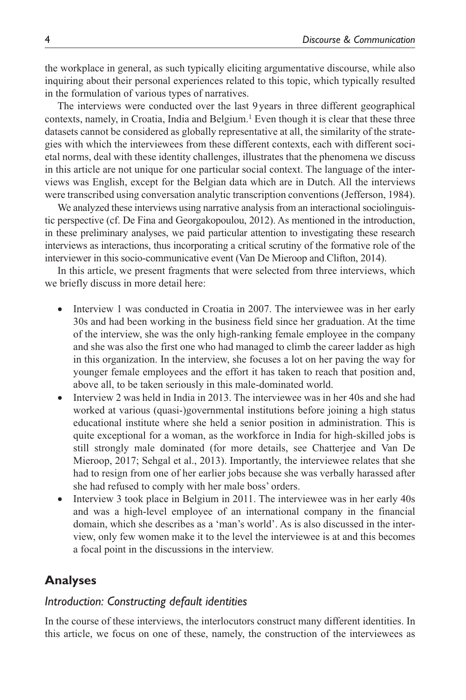the workplace in general, as such typically eliciting argumentative discourse, while also inquiring about their personal experiences related to this topic, which typically resulted in the formulation of various types of narratives.

The interviews were conducted over the last 9 years in three different geographical contexts, namely, in Croatia, India and Belgium.<sup>1</sup> Even though it is clear that these three datasets cannot be considered as globally representative at all, the similarity of the strategies with which the interviewees from these different contexts, each with different societal norms, deal with these identity challenges, illustrates that the phenomena we discuss in this article are not unique for one particular social context. The language of the interviews was English, except for the Belgian data which are in Dutch. All the interviews were transcribed using conversation analytic transcription conventions (Jefferson, 1984).

We analyzed these interviews using narrative analysis from an interactional sociolinguistic perspective (cf. De Fina and Georgakopoulou, 2012). As mentioned in the introduction, in these preliminary analyses, we paid particular attention to investigating these research interviews as interactions, thus incorporating a critical scrutiny of the formative role of the interviewer in this socio-communicative event (Van De Mieroop and Clifton, 2014).

In this article, we present fragments that were selected from three interviews, which we briefly discuss in more detail here:

- Interview 1 was conducted in Croatia in 2007. The interviewee was in her early 30s and had been working in the business field since her graduation. At the time of the interview, she was the only high-ranking female employee in the company and she was also the first one who had managed to climb the career ladder as high in this organization. In the interview, she focuses a lot on her paving the way for younger female employees and the effort it has taken to reach that position and, above all, to be taken seriously in this male-dominated world.
- Interview 2 was held in India in 2013. The interviewee was in her 40s and she had worked at various (quasi-)governmental institutions before joining a high status educational institute where she held a senior position in administration. This is quite exceptional for a woman, as the workforce in India for high-skilled jobs is still strongly male dominated (for more details, see Chatterjee and Van De Mieroop, 2017; Sehgal et al., 2013). Importantly, the interviewee relates that she had to resign from one of her earlier jobs because she was verbally harassed after she had refused to comply with her male boss' orders.
- Interview 3 took place in Belgium in 2011. The interviewee was in her early 40s and was a high-level employee of an international company in the financial domain, which she describes as a 'man's world'. As is also discussed in the interview, only few women make it to the level the interviewee is at and this becomes a focal point in the discussions in the interview.

## **Analyses**

## *Introduction: Constructing default identities*

In the course of these interviews, the interlocutors construct many different identities. In this article, we focus on one of these, namely, the construction of the interviewees as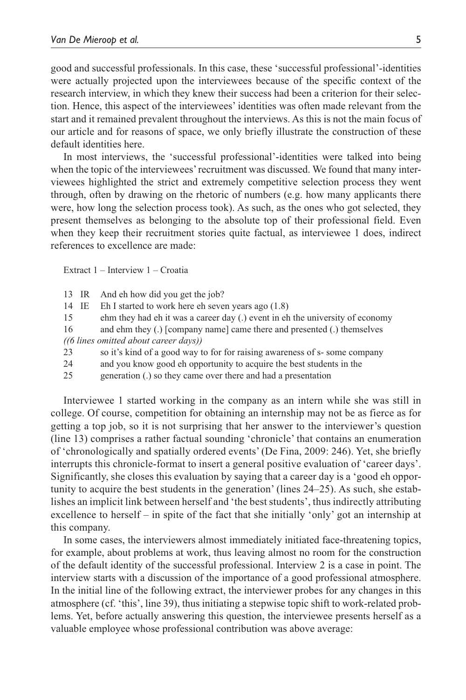good and successful professionals. In this case, these 'successful professional'-identities were actually projected upon the interviewees because of the specific context of the research interview, in which they knew their success had been a criterion for their selection. Hence, this aspect of the interviewees' identities was often made relevant from the start and it remained prevalent throughout the interviews. As this is not the main focus of our article and for reasons of space, we only briefly illustrate the construction of these default identities here.

In most interviews, the 'successful professional'-identities were talked into being when the topic of the interviewees' recruitment was discussed. We found that many interviewees highlighted the strict and extremely competitive selection process they went through, often by drawing on the rhetoric of numbers (e.g. how many applicants there were, how long the selection process took). As such, as the ones who got selected, they present themselves as belonging to the absolute top of their professional field. Even when they keep their recruitment stories quite factual, as interviewee 1 does, indirect references to excellence are made:

Extract 1 – Interview 1 – Croatia

|    |       | 13 IR And eh how did you get the job?                                         |
|----|-------|-------------------------------------------------------------------------------|
|    | 14 IE | Eh I started to work here eh seven years ago (1.8)                            |
| 15 |       | ehm they had eh it was a career day (.) event in eh the university of economy |
| 16 |       | and ehm they (.) [company name] came there and presented (.) themselves       |
|    |       | ((6 lines omitted about career days))                                         |
| 23 |       | so it's kind of a good way to for for raising awareness of s- some company    |
| 24 |       | and you know good eh opportunity to acquire the best students in the          |
| 25 |       | generation (.) so they came over there and had a presentation                 |

Interviewee 1 started working in the company as an intern while she was still in college. Of course, competition for obtaining an internship may not be as fierce as for getting a top job, so it is not surprising that her answer to the interviewer's question (line 13) comprises a rather factual sounding 'chronicle' that contains an enumeration of 'chronologically and spatially ordered events' (De Fina, 2009: 246). Yet, she briefly interrupts this chronicle-format to insert a general positive evaluation of 'career days'. Significantly, she closes this evaluation by saying that a career day is a 'good eh opportunity to acquire the best students in the generation' (lines 24–25). As such, she establishes an implicit link between herself and 'the best students', thus indirectly attributing excellence to herself – in spite of the fact that she initially 'only' got an internship at this company.

In some cases, the interviewers almost immediately initiated face-threatening topics, for example, about problems at work, thus leaving almost no room for the construction of the default identity of the successful professional. Interview 2 is a case in point. The interview starts with a discussion of the importance of a good professional atmosphere. In the initial line of the following extract, the interviewer probes for any changes in this atmosphere (cf. 'this', line 39), thus initiating a stepwise topic shift to work-related problems. Yet, before actually answering this question, the interviewee presents herself as a valuable employee whose professional contribution was above average: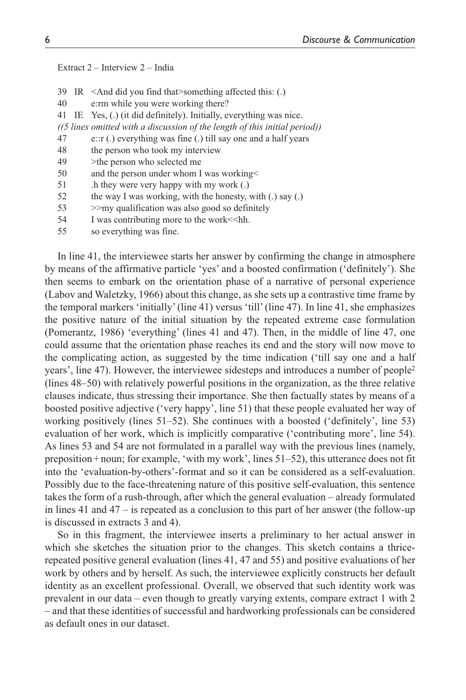#### Extract 2 – Interview 2 – India

|    | 39 IR $\leq$ And did you find that something affected this: (.)             |
|----|-----------------------------------------------------------------------------|
| 40 | e:rm while you were working there?                                          |
| 41 | IE Yes, (.) (it did definitely). Initially, everything was nice.            |
|    | $(5$ lines omitted with a discussion of the length of this initial period)) |
| 47 | e:: r(.) everything was fine (.) till say one and a half years              |
| 48 | the person who took my interview                                            |
| 49 | >the person who selected me                                                 |
| 50 | and the person under whom I was working                                     |
| 51 | .h they were very happy with my work $(.)$                                  |
| 52 | the way I was working, with the honesty, with $(.)$ say $(.)$               |
| 53 | $\gg$ my qualification was also good so definitely                          |
| 54 | I was contributing more to the work << hh.                                  |
| 55 | so everything was fine.                                                     |

In line 41, the interviewee starts her answer by confirming the change in atmosphere by means of the affirmative particle 'yes' and a boosted confirmation ('definitely'). She then seems to embark on the orientation phase of a narrative of personal experience (Labov and Waletzky, 1966) about this change, as she sets up a contrastive time frame by the temporal markers 'initially' (line 41) versus 'till' (line 47). In line 41, she emphasizes the positive nature of the initial situation by the repeated extreme case formulation (Pomerantz, 1986) 'everything' (lines 41 and 47). Then, in the middle of line 47, one could assume that the orientation phase reaches its end and the story will now move to the complicating action, as suggested by the time indication ('till say one and a half years', line 47). However, the interviewee sidesteps and introduces a number of people<sup>2</sup> (lines 48–50) with relatively powerful positions in the organization, as the three relative clauses indicate, thus stressing their importance. She then factually states by means of a boosted positive adjective ('very happy', line 51) that these people evaluated her way of working positively (lines 51–52). She continues with a boosted ('definitely', line 53) evaluation of her work, which is implicitly comparative ('contributing more', line 54). As lines 53 and 54 are not formulated in a parallel way with the previous lines (namely, preposition + noun; for example, 'with my work', lines 51–52), this utterance does not fit into the 'evaluation-by-others'-format and so it can be considered as a self-evaluation. Possibly due to the face-threatening nature of this positive self-evaluation, this sentence takes the form of a rush-through, after which the general evaluation – already formulated in lines 41 and 47 – is repeated as a conclusion to this part of her answer (the follow-up is discussed in extracts 3 and 4).

So in this fragment, the interviewee inserts a preliminary to her actual answer in which she sketches the situation prior to the changes. This sketch contains a thricerepeated positive general evaluation (lines 41, 47 and 55) and positive evaluations of her work by others and by herself. As such, the interviewee explicitly constructs her default identity as an excellent professional. Overall, we observed that such identity work was prevalent in our data – even though to greatly varying extents, compare extract 1 with 2 – and that these identities of successful and hardworking professionals can be considered as default ones in our dataset.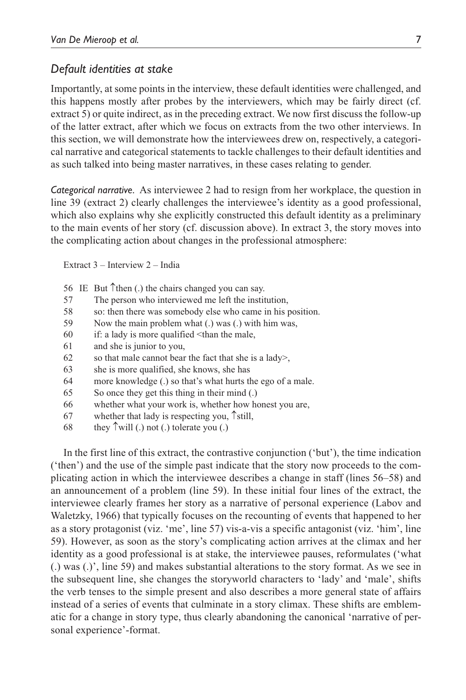## *Default identities at stake*

Importantly, at some points in the interview, these default identities were challenged, and this happens mostly after probes by the interviewers, which may be fairly direct (cf. extract 5) or quite indirect, as in the preceding extract. We now first discuss the follow-up of the latter extract, after which we focus on extracts from the two other interviews. In this section, we will demonstrate how the interviewees drew on, respectively, a categorical narrative and categorical statements to tackle challenges to their default identities and as such talked into being master narratives, in these cases relating to gender.

*Categorical narrative.* As interviewee 2 had to resign from her workplace, the question in line 39 (extract 2) clearly challenges the interviewee's identity as a good professional, which also explains why she explicitly constructed this default identity as a preliminary to the main events of her story (cf. discussion above). In extract 3, the story moves into the complicating action about changes in the professional atmosphere:

Extract 3 – Interview 2 – India

|    | 56 IE But Tthen (.) the chairs changed you can say.        |
|----|------------------------------------------------------------|
| 57 | The person who interviewed me left the institution,        |
| 58 | so: then there was somebody else who came in his position. |
| 59 | Now the main problem what (.) was (.) with him was,        |
| 60 | if: a lady is more qualified < than the male,              |
| 61 | and she is junior to you,                                  |
| 62 | so that male cannot bear the fact that she is a lady.      |
| 63 | she is more qualified, she knows, she has                  |
| 64 | more knowledge (.) so that's what hurts the ego of a male. |
| 65 | So once they get this thing in their mind (.)              |
| 66 | whether what your work is, whether how honest you are,     |
| 67 | whether that lady is respecting you, $\hat{\Gamma}$ still, |
| 68 | they $\hat{\uparrow}$ will (.) not (.) tolerate you (.)    |

In the first line of this extract, the contrastive conjunction ('but'), the time indication ('then') and the use of the simple past indicate that the story now proceeds to the complicating action in which the interviewee describes a change in staff (lines 56–58) and an announcement of a problem (line 59). In these initial four lines of the extract, the interviewee clearly frames her story as a narrative of personal experience (Labov and Waletzky, 1966) that typically focuses on the recounting of events that happened to her as a story protagonist (viz. 'me', line 57) vis-a-vis a specific antagonist (viz. 'him', line 59). However, as soon as the story's complicating action arrives at the climax and her identity as a good professional is at stake, the interviewee pauses, reformulates ('what (.) was (.)', line 59) and makes substantial alterations to the story format. As we see in the subsequent line, she changes the storyworld characters to 'lady' and 'male', shifts the verb tenses to the simple present and also describes a more general state of affairs instead of a series of events that culminate in a story climax. These shifts are emblematic for a change in story type, thus clearly abandoning the canonical 'narrative of personal experience'-format.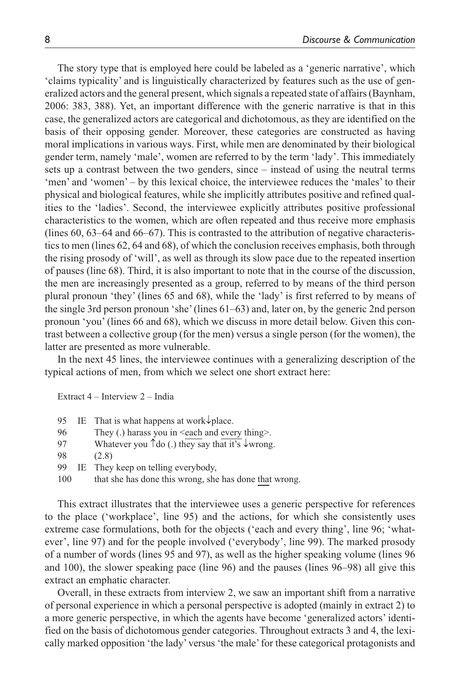The story type that is employed here could be labeled as a 'generic narrative', which 'claims typicality' and is linguistically characterized by features such as the use of generalized actors and the general present, which signals a repeated state of affairs (Baynham, 2006: 383, 388). Yet, an important difference with the generic narrative is that in this case, the generalized actors are categorical and dichotomous, as they are identified on the basis of their opposing gender. Moreover, these categories are constructed as having moral implications in various ways. First, while men are denominated by their biological gender term, namely 'male', women are referred to by the term 'lady'. This immediately sets up a contrast between the two genders, since – instead of using the neutral terms 'men' and 'women' – by this lexical choice, the interviewee reduces the 'males' to their physical and biological features, while she implicitly attributes positive and refined qualities to the 'ladies'. Second, the interviewee explicitly attributes positive professional characteristics to the women, which are often repeated and thus receive more emphasis (lines 60, 63–64 and 66–67). This is contrasted to the attribution of negative characteristics to men (lines 62, 64 and 68), of which the conclusion receives emphasis, both through the rising prosody of 'will', as well as through its slow pace due to the repeated insertion of pauses (line 68). Third, it is also important to note that in the course of the discussion, the men are increasingly presented as a group, referred to by means of the third person plural pronoun 'they' (lines 65 and 68), while the 'lady' is first referred to by means of the single 3rd person pronoun 'she' (lines 61–63) and, later on, by the generic 2nd person pronoun 'you' (lines 66 and 68), which we discuss in more detail below. Given this contrast between a collective group (for the men) versus a single person (for the women), the latter are presented as more vulnerable.

In the next 45 lines, the interviewee continues with a generalizing description of the typical actions of men, from which we select one short extract here:

Extract 4 – Interview 2 – India

| 95  |     | IE That is what happens at work $\downarrow$ place.                   |
|-----|-----|-----------------------------------------------------------------------|
| 96  |     | They (.) harass you in $\leq$ each and every thing $\geq$ .           |
| 97  |     | Whatever you $\uparrow$ do (.) they say that it's $\downarrow$ wrong. |
| 98  |     | (2.8)                                                                 |
| 99  | IE. | They keep on telling everybody,                                       |
| 100 |     | that she has done this wrong, she has done that wrong.                |

This extract illustrates that the interviewee uses a generic perspective for references to the place ('workplace', line 95) and the actions, for which she consistently uses extreme case formulations, both for the objects ('each and every thing', line 96; 'whatever', line 97) and for the people involved ('everybody', line 99). The marked prosody of a number of words (lines 95 and 97), as well as the higher speaking volume (lines 96 and 100), the slower speaking pace (line 96) and the pauses (lines 96–98) all give this extract an emphatic character.

Overall, in these extracts from interview 2, we saw an important shift from a narrative of personal experience in which a personal perspective is adopted (mainly in extract 2) to a more generic perspective, in which the agents have become 'generalized actors' identified on the basis of dichotomous gender categories. Throughout extracts 3 and 4, the lexically marked opposition 'the lady' versus 'the male' for these categorical protagonists and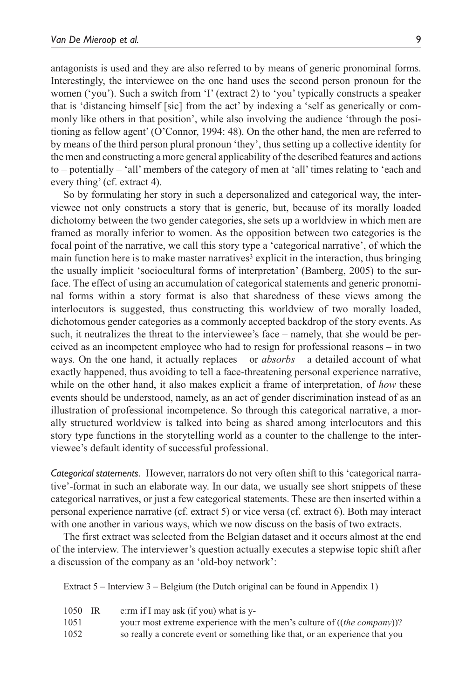antagonists is used and they are also referred to by means of generic pronominal forms. Interestingly, the interviewee on the one hand uses the second person pronoun for the women ('you'). Such a switch from 'I' (extract 2) to 'you' typically constructs a speaker that is 'distancing himself [sic] from the act' by indexing a 'self as generically or commonly like others in that position', while also involving the audience 'through the positioning as fellow agent' (O'Connor, 1994: 48). On the other hand, the men are referred to by means of the third person plural pronoun 'they', thus setting up a collective identity for the men and constructing a more general applicability of the described features and actions to – potentially – 'all' members of the category of men at 'all' times relating to 'each and every thing' (cf. extract 4).

So by formulating her story in such a depersonalized and categorical way, the interviewee not only constructs a story that is generic, but, because of its morally loaded dichotomy between the two gender categories, she sets up a worldview in which men are framed as morally inferior to women. As the opposition between two categories is the focal point of the narrative, we call this story type a 'categorical narrative', of which the main function here is to make master narratives<sup>3</sup> explicit in the interaction, thus bringing the usually implicit 'sociocultural forms of interpretation' (Bamberg, 2005) to the surface. The effect of using an accumulation of categorical statements and generic pronominal forms within a story format is also that sharedness of these views among the interlocutors is suggested, thus constructing this worldview of two morally loaded, dichotomous gender categories as a commonly accepted backdrop of the story events. As such, it neutralizes the threat to the interviewee's face – namely, that she would be perceived as an incompetent employee who had to resign for professional reasons – in two ways. On the one hand, it actually replaces – or *absorbs* – a detailed account of what exactly happened, thus avoiding to tell a face-threatening personal experience narrative, while on the other hand, it also makes explicit a frame of interpretation, of *how* these events should be understood, namely, as an act of gender discrimination instead of as an illustration of professional incompetence. So through this categorical narrative, a morally structured worldview is talked into being as shared among interlocutors and this story type functions in the storytelling world as a counter to the challenge to the interviewee's default identity of successful professional.

*Categorical statements.* However, narrators do not very often shift to this 'categorical narrative'-format in such an elaborate way. In our data, we usually see short snippets of these categorical narratives, or just a few categorical statements. These are then inserted within a personal experience narrative (cf. extract 5) or vice versa (cf. extract 6). Both may interact with one another in various ways, which we now discuss on the basis of two extracts.

The first extract was selected from the Belgian dataset and it occurs almost at the end of the interview. The interviewer's question actually executes a stepwise topic shift after a discussion of the company as an 'old-boy network':

Extract  $5$  – Interview  $3$  – Belgium (the Dutch original can be found in Appendix 1)

|  | 1050 IR |  | e:rm if I may ask (if you) what is y- |  |  |  |  |  |
|--|---------|--|---------------------------------------|--|--|--|--|--|
|--|---------|--|---------------------------------------|--|--|--|--|--|

- 1051 you:r most extreme experience with the men's culture of ((*the company*))?
- 1052 so really a concrete event or something like that, or an experience that you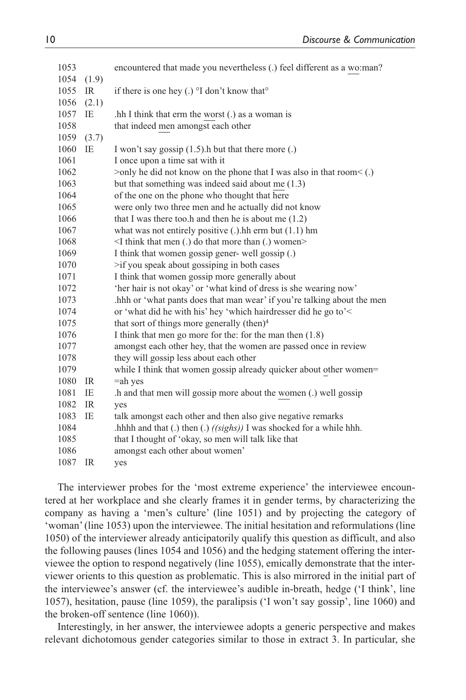| 1053 |           | encountered that made you nevertheless (.) feel different as a wo:man?     |
|------|-----------|----------------------------------------------------------------------------|
| 1054 | (1.9)     |                                                                            |
| 1055 | IR        | if there is one hey (.) $\degree$ I don't know that $\degree$              |
| 1056 | (2.1)     |                                                                            |
| 1057 | IE        | .hh I think that erm the worst (.) as a woman is                           |
| 1058 |           | that indeed men amongst each other                                         |
| 1059 | (3.7)     |                                                                            |
| 1060 | IE        | I won't say gossip $(1.5)$ . h but that there more $(.)$                   |
| 1061 |           | I once upon a time sat with it                                             |
| 1062 |           | >only he did not know on the phone that I was also in that room $\leq$ (.) |
| 1063 |           | but that something was indeed said about me $(1.3)$                        |
| 1064 |           | of the one on the phone who thought that here                              |
| 1065 |           | were only two three men and he actually did not know                       |
| 1066 |           | that I was there too.h and then he is about me $(1.2)$                     |
| 1067 |           | what was not entirely positive $(.)$ .hh erm but $(1.1)$ hm                |
| 1068 |           | $\leq$ I think that men (.) do that more than (.) women $\geq$             |
| 1069 |           | I think that women gossip gener- well gossip (.)                           |
| 1070 |           | >if you speak about gossiping in both cases                                |
| 1071 |           | I think that women gossip more generally about                             |
| 1072 |           | 'her hair is not okay' or 'what kind of dress is she wearing now'          |
| 1073 |           | .hhh or 'what pants does that man wear' if you're talking about the men    |
| 1074 |           | or 'what did he with his' hey 'which hairdresser did he go to'             |
| 1075 |           | that sort of things more generally (then) <sup>4</sup>                     |
| 1076 |           | I think that men go more for the: for the man then $(1.8)$                 |
| 1077 |           | amongst each other hey, that the women are passed once in review           |
| 1078 |           | they will gossip less about each other                                     |
| 1079 |           | while I think that women gossip already quicker about other women=         |
| 1080 | IR        | $=$ ah yes                                                                 |
| 1081 | IE        | .h and that men will gossip more about the women (.) well gossip           |
| 1082 | <b>IR</b> | yes                                                                        |
| 1083 | IE        | talk amongst each other and then also give negative remarks                |
| 1084 |           | .hhhh and that (.) then (.) $((sighs))$ I was shocked for a while hhh.     |
| 1085 |           | that I thought of 'okay, so men will talk like that                        |
| 1086 |           | amongst each other about women'                                            |
| 1087 | <b>IR</b> | yes                                                                        |

The interviewer probes for the 'most extreme experience' the interviewee encountered at her workplace and she clearly frames it in gender terms, by characterizing the company as having a 'men's culture' (line 1051) and by projecting the category of 'woman' (line 1053) upon the interviewee. The initial hesitation and reformulations (line 1050) of the interviewer already anticipatorily qualify this question as difficult, and also the following pauses (lines 1054 and 1056) and the hedging statement offering the interviewee the option to respond negatively (line 1055), emically demonstrate that the interviewer orients to this question as problematic. This is also mirrored in the initial part of the interviewee's answer (cf. the interviewee's audible in-breath, hedge ('I think', line 1057), hesitation, pause (line 1059), the paralipsis ('I won't say gossip', line 1060) and the broken-off sentence (line 1060)).

Interestingly, in her answer, the interviewee adopts a generic perspective and makes relevant dichotomous gender categories similar to those in extract 3. In particular, she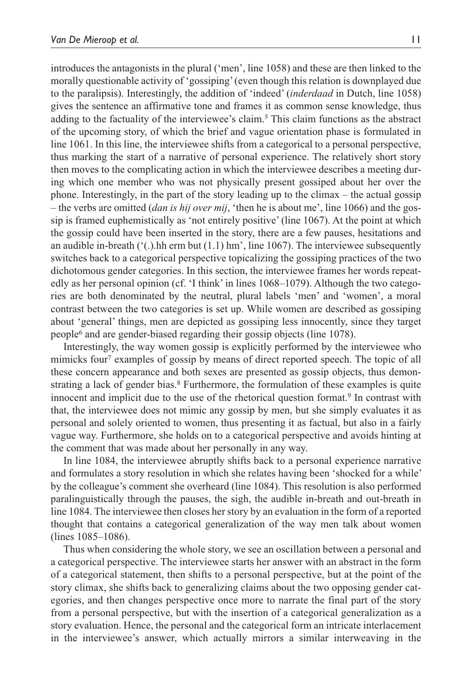introduces the antagonists in the plural ('men', line 1058) and these are then linked to the morally questionable activity of 'gossiping' (even though this relation is downplayed due to the paralipsis). Interestingly, the addition of 'indeed' (*inderdaad* in Dutch, line 1058) gives the sentence an affirmative tone and frames it as common sense knowledge, thus adding to the factuality of the interviewee's claim.<sup>5</sup> This claim functions as the abstract of the upcoming story, of which the brief and vague orientation phase is formulated in line 1061. In this line, the interviewee shifts from a categorical to a personal perspective, thus marking the start of a narrative of personal experience. The relatively short story then moves to the complicating action in which the interviewee describes a meeting during which one member who was not physically present gossiped about her over the phone. Interestingly, in the part of the story leading up to the climax – the actual gossip – the verbs are omitted (*dan is hij over mij*, 'then he is about me', line 1066) and the gossip is framed euphemistically as 'not entirely positive' (line 1067). At the point at which the gossip could have been inserted in the story, there are a few pauses, hesitations and an audible in-breath  $($ <sup>('(')</sup>). The interviewee subsequently and audible in-breath  $($ <sup>'</sup>(')). The interviewee subsequently switches back to a categorical perspective topicalizing the gossiping practices of the two dichotomous gender categories. In this section, the interviewee frames her words repeatedly as her personal opinion (cf. 'I think' in lines 1068–1079). Although the two categories are both denominated by the neutral, plural labels 'men' and 'women', a moral contrast between the two categories is set up. While women are described as gossiping about 'general' things, men are depicted as gossiping less innocently, since they target people<sup>6</sup> and are gender-biased regarding their gossip objects (line 1078).

Interestingly, the way women gossip is explicitly performed by the interviewee who mimicks four<sup>7</sup> examples of gossip by means of direct reported speech. The topic of all these concern appearance and both sexes are presented as gossip objects, thus demonstrating a lack of gender bias.<sup>8</sup> Furthermore, the formulation of these examples is quite innocent and implicit due to the use of the rhetorical question format.<sup>9</sup> In contrast with that, the interviewee does not mimic any gossip by men, but she simply evaluates it as personal and solely oriented to women, thus presenting it as factual, but also in a fairly vague way. Furthermore, she holds on to a categorical perspective and avoids hinting at the comment that was made about her personally in any way.

In line 1084, the interviewee abruptly shifts back to a personal experience narrative and formulates a story resolution in which she relates having been 'shocked for a while' by the colleague's comment she overheard (line 1084). This resolution is also performed paralinguistically through the pauses, the sigh, the audible in-breath and out-breath in line 1084. The interviewee then closes her story by an evaluation in the form of a reported thought that contains a categorical generalization of the way men talk about women (lines 1085–1086).

Thus when considering the whole story, we see an oscillation between a personal and a categorical perspective. The interviewee starts her answer with an abstract in the form of a categorical statement, then shifts to a personal perspective, but at the point of the story climax, she shifts back to generalizing claims about the two opposing gender categories, and then changes perspective once more to narrate the final part of the story from a personal perspective, but with the insertion of a categorical generalization as a story evaluation. Hence, the personal and the categorical form an intricate interlacement in the interviewee's answer, which actually mirrors a similar interweaving in the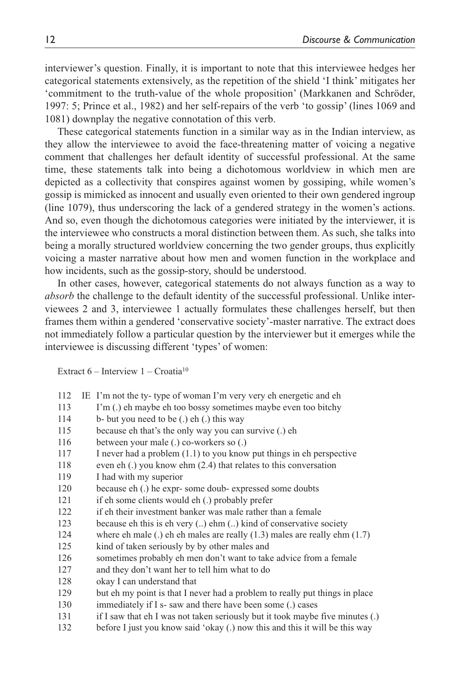interviewer's question. Finally, it is important to note that this interviewee hedges her categorical statements extensively, as the repetition of the shield 'I think' mitigates her 'commitment to the truth-value of the whole proposition' (Markkanen and Schröder, 1997: 5; Prince et al., 1982) and her self-repairs of the verb 'to gossip' (lines 1069 and 1081) downplay the negative connotation of this verb.

These categorical statements function in a similar way as in the Indian interview, as they allow the interviewee to avoid the face-threatening matter of voicing a negative comment that challenges her default identity of successful professional. At the same time, these statements talk into being a dichotomous worldview in which men are depicted as a collectivity that conspires against women by gossiping, while women's gossip is mimicked as innocent and usually even oriented to their own gendered ingroup (line 1079), thus underscoring the lack of a gendered strategy in the women's actions. And so, even though the dichotomous categories were initiated by the interviewer, it is the interviewee who constructs a moral distinction between them. As such, she talks into being a morally structured worldview concerning the two gender groups, thus explicitly voicing a master narrative about how men and women function in the workplace and how incidents, such as the gossip-story, should be understood.

In other cases, however, categorical statements do not always function as a way to *absorb* the challenge to the default identity of the successful professional. Unlike interviewees 2 and 3, interviewee 1 actually formulates these challenges herself, but then frames them within a gendered 'conservative society'-master narrative. The extract does not immediately follow a particular question by the interviewer but it emerges while the interviewee is discussing different 'types' of women:

Extract  $6$  – Interview  $1$  – Croatia<sup>10</sup>

| 112 | IE I'm not the ty-type of woman I'm very very eh energetic and eh             |
|-----|-------------------------------------------------------------------------------|
| 113 | I'm (.) eh maybe eh too bossy sometimes maybe even too bitchy                 |
| 114 | b- but you need to be $(.)$ eh $(.)$ this way                                 |
| 115 | because eh that's the only way you can survive (.) eh                         |
| 116 | between your male (.) co-workers so (.)                                       |
| 117 | I never had a problem $(1.1)$ to you know put things in eh perspective        |
| 118 | even $eh(.)$ you know $ehm(2.4)$ that relates to this conversation            |
| 119 | I had with my superior                                                        |
| 120 | because eh (.) he expr-some doub-expressed some doubts                        |
| 121 | if eh some clients would eh (.) probably prefer                               |
| 122 | if eh their investment banker was male rather than a female                   |
| 123 | because $eh$ this is $eh$ very $(.)$ $ehm(.)$ kind of conservative society    |
| 124 | where eh male (.) eh eh males are really $(1.3)$ males are really ehm $(1.7)$ |
| 125 | kind of taken seriously by by other males and                                 |
| 126 | sometimes probably eh men don't want to take advice from a female             |
| 127 | and they don't want her to tell him what to do                                |
| 128 | okay I can understand that                                                    |
| 129 | but eh my point is that I never had a problem to really put things in place   |
| 130 | immediately if I s- saw and there have been some (.) cases                    |
| 131 | if I saw that eh I was not taken seriously but it took maybe five minutes (.) |
| 132 | before I just you know said 'okay (.) now this and this it will be this way   |
|     |                                                                               |
|     |                                                                               |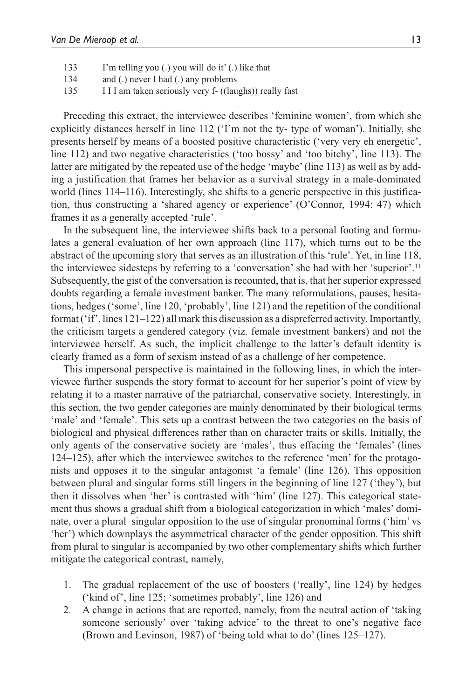- 133 I'm telling you (.) you will do it' (.) like that
- 134 and (.) never I had (.) any problems
- 135 I I I am taken seriously very f- ((laughs)) really fast

Preceding this extract, the interviewee describes 'feminine women', from which she explicitly distances herself in line 112 ('I'm not the ty- type of woman'). Initially, she presents herself by means of a boosted positive characteristic ('very very eh energetic', line 112) and two negative characteristics ('too bossy' and 'too bitchy', line 113). The latter are mitigated by the repeated use of the hedge 'maybe' (line 113) as well as by adding a justification that frames her behavior as a survival strategy in a male-dominated world (lines 114–116). Interestingly, she shifts to a generic perspective in this justification, thus constructing a 'shared agency or experience' (O'Connor, 1994: 47) which frames it as a generally accepted 'rule'.

In the subsequent line, the interviewee shifts back to a personal footing and formulates a general evaluation of her own approach (line 117), which turns out to be the abstract of the upcoming story that serves as an illustration of this 'rule'. Yet, in line 118, the interviewee sidesteps by referring to a 'conversation' she had with her 'superior'.<sup>11</sup> Subsequently, the gist of the conversation is recounted, that is, that her superior expressed doubts regarding a female investment banker. The many reformulations, pauses, hesitations, hedges ('some', line 120, 'probably', line 121) and the repetition of the conditional format ('if', lines 121–122) all mark this discussion as a dispreferred activity. Importantly, the criticism targets a gendered category (viz. female investment bankers) and not the interviewee herself. As such, the implicit challenge to the latter's default identity is clearly framed as a form of sexism instead of as a challenge of her competence.

This impersonal perspective is maintained in the following lines, in which the interviewee further suspends the story format to account for her superior's point of view by relating it to a master narrative of the patriarchal, conservative society. Interestingly, in this section, the two gender categories are mainly denominated by their biological terms 'male' and 'female'. This sets up a contrast between the two categories on the basis of biological and physical differences rather than on character traits or skills. Initially, the only agents of the conservative society are 'males', thus effacing the 'females' (lines 124–125), after which the interviewee switches to the reference 'men' for the protagonists and opposes it to the singular antagonist 'a female' (line 126). This opposition between plural and singular forms still lingers in the beginning of line 127 ('they'), but then it dissolves when 'her' is contrasted with 'him' (line 127). This categorical statement thus shows a gradual shift from a biological categorization in which 'males' dominate, over a plural–singular opposition to the use of singular pronominal forms ('him' vs 'her') which downplays the asymmetrical character of the gender opposition. This shift from plural to singular is accompanied by two other complementary shifts which further mitigate the categorical contrast, namely,

- 1. The gradual replacement of the use of boosters ('really', line 124) by hedges ('kind of', line 125; 'sometimes probably', line 126) and
- 2. A change in actions that are reported, namely, from the neutral action of 'taking someone seriously' over 'taking advice' to the threat to one's negative face (Brown and Levinson, 1987) of 'being told what to do' (lines 125–127).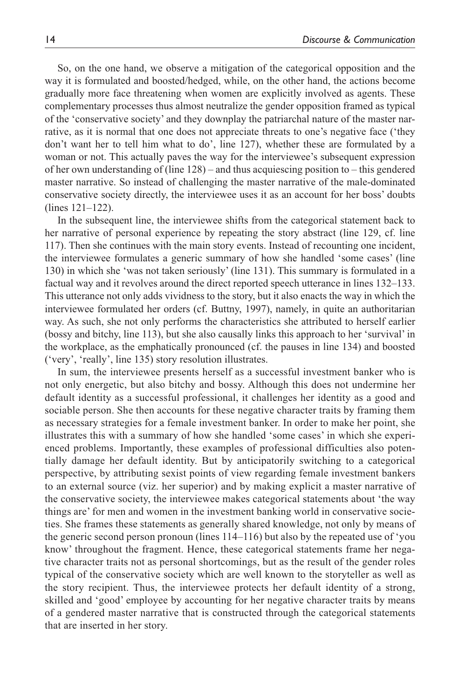So, on the one hand, we observe a mitigation of the categorical opposition and the way it is formulated and boosted/hedged, while, on the other hand, the actions become gradually more face threatening when women are explicitly involved as agents. These complementary processes thus almost neutralize the gender opposition framed as typical of the 'conservative society' and they downplay the patriarchal nature of the master narrative, as it is normal that one does not appreciate threats to one's negative face ('they don't want her to tell him what to do', line 127), whether these are formulated by a woman or not. This actually paves the way for the interviewee's subsequent expression of her own understanding of (line 128) – and thus acquiescing position to – this gendered master narrative. So instead of challenging the master narrative of the male-dominated conservative society directly, the interviewee uses it as an account for her boss' doubts (lines 121–122).

In the subsequent line, the interviewee shifts from the categorical statement back to her narrative of personal experience by repeating the story abstract (line 129, cf. line 117). Then she continues with the main story events. Instead of recounting one incident, the interviewee formulates a generic summary of how she handled 'some cases' (line 130) in which she 'was not taken seriously' (line 131). This summary is formulated in a factual way and it revolves around the direct reported speech utterance in lines 132–133. This utterance not only adds vividness to the story, but it also enacts the way in which the interviewee formulated her orders (cf. Buttny, 1997), namely, in quite an authoritarian way. As such, she not only performs the characteristics she attributed to herself earlier (bossy and bitchy, line 113), but she also causally links this approach to her 'survival' in the workplace, as the emphatically pronounced (cf. the pauses in line 134) and boosted ('very', 'really', line 135) story resolution illustrates.

In sum, the interviewee presents herself as a successful investment banker who is not only energetic, but also bitchy and bossy. Although this does not undermine her default identity as a successful professional, it challenges her identity as a good and sociable person. She then accounts for these negative character traits by framing them as necessary strategies for a female investment banker. In order to make her point, she illustrates this with a summary of how she handled 'some cases' in which she experienced problems. Importantly, these examples of professional difficulties also potentially damage her default identity. But by anticipatorily switching to a categorical perspective, by attributing sexist points of view regarding female investment bankers to an external source (viz. her superior) and by making explicit a master narrative of the conservative society, the interviewee makes categorical statements about 'the way things are' for men and women in the investment banking world in conservative societies. She frames these statements as generally shared knowledge, not only by means of the generic second person pronoun (lines 114–116) but also by the repeated use of 'you know' throughout the fragment. Hence, these categorical statements frame her negative character traits not as personal shortcomings, but as the result of the gender roles typical of the conservative society which are well known to the storyteller as well as the story recipient. Thus, the interviewee protects her default identity of a strong, skilled and 'good' employee by accounting for her negative character traits by means of a gendered master narrative that is constructed through the categorical statements that are inserted in her story.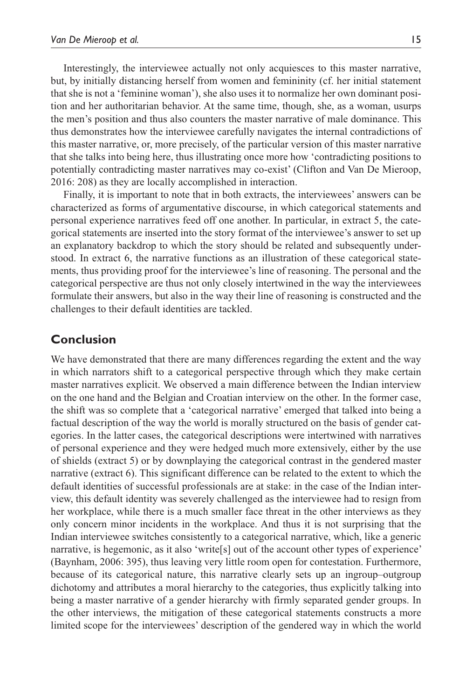Interestingly, the interviewee actually not only acquiesces to this master narrative, but, by initially distancing herself from women and femininity (cf. her initial statement that she is not a 'feminine woman'), she also uses it to normalize her own dominant position and her authoritarian behavior. At the same time, though, she, as a woman, usurps the men's position and thus also counters the master narrative of male dominance. This thus demonstrates how the interviewee carefully navigates the internal contradictions of this master narrative, or, more precisely, of the particular version of this master narrative that she talks into being here, thus illustrating once more how 'contradicting positions to potentially contradicting master narratives may co-exist' (Clifton and Van De Mieroop, 2016: 208) as they are locally accomplished in interaction.

Finally, it is important to note that in both extracts, the interviewees' answers can be characterized as forms of argumentative discourse, in which categorical statements and personal experience narratives feed off one another. In particular, in extract 5, the categorical statements are inserted into the story format of the interviewee's answer to set up an explanatory backdrop to which the story should be related and subsequently understood. In extract 6, the narrative functions as an illustration of these categorical statements, thus providing proof for the interviewee's line of reasoning. The personal and the categorical perspective are thus not only closely intertwined in the way the interviewees formulate their answers, but also in the way their line of reasoning is constructed and the challenges to their default identities are tackled.

## **Conclusion**

We have demonstrated that there are many differences regarding the extent and the way in which narrators shift to a categorical perspective through which they make certain master narratives explicit. We observed a main difference between the Indian interview on the one hand and the Belgian and Croatian interview on the other. In the former case, the shift was so complete that a 'categorical narrative' emerged that talked into being a factual description of the way the world is morally structured on the basis of gender categories. In the latter cases, the categorical descriptions were intertwined with narratives of personal experience and they were hedged much more extensively, either by the use of shields (extract 5) or by downplaying the categorical contrast in the gendered master narrative (extract 6). This significant difference can be related to the extent to which the default identities of successful professionals are at stake: in the case of the Indian interview, this default identity was severely challenged as the interviewee had to resign from her workplace, while there is a much smaller face threat in the other interviews as they only concern minor incidents in the workplace. And thus it is not surprising that the Indian interviewee switches consistently to a categorical narrative, which, like a generic narrative, is hegemonic, as it also 'write[s] out of the account other types of experience' (Baynham, 2006: 395), thus leaving very little room open for contestation. Furthermore, because of its categorical nature, this narrative clearly sets up an ingroup–outgroup dichotomy and attributes a moral hierarchy to the categories, thus explicitly talking into being a master narrative of a gender hierarchy with firmly separated gender groups. In the other interviews, the mitigation of these categorical statements constructs a more limited scope for the interviewees' description of the gendered way in which the world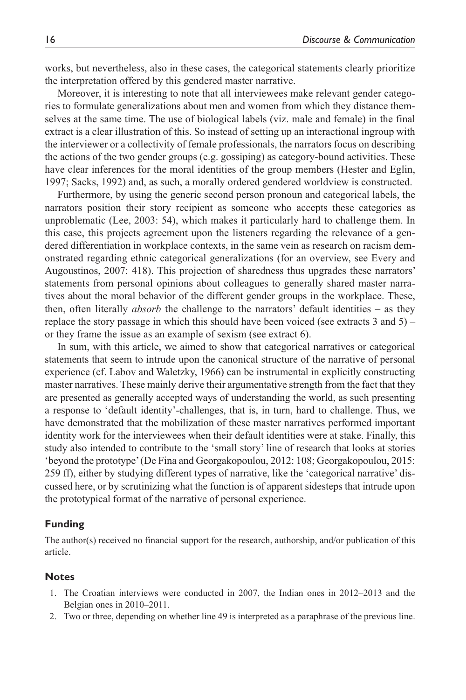works, but nevertheless, also in these cases, the categorical statements clearly prioritize the interpretation offered by this gendered master narrative.

Moreover, it is interesting to note that all interviewees make relevant gender categories to formulate generalizations about men and women from which they distance themselves at the same time. The use of biological labels (viz. male and female) in the final extract is a clear illustration of this. So instead of setting up an interactional ingroup with the interviewer or a collectivity of female professionals, the narrators focus on describing the actions of the two gender groups (e.g. gossiping) as category-bound activities. These have clear inferences for the moral identities of the group members (Hester and Eglin, 1997; Sacks, 1992) and, as such, a morally ordered gendered worldview is constructed.

Furthermore, by using the generic second person pronoun and categorical labels, the narrators position their story recipient as someone who accepts these categories as unproblematic (Lee, 2003: 54), which makes it particularly hard to challenge them. In this case, this projects agreement upon the listeners regarding the relevance of a gendered differentiation in workplace contexts, in the same vein as research on racism demonstrated regarding ethnic categorical generalizations (for an overview, see Every and Augoustinos, 2007: 418). This projection of sharedness thus upgrades these narrators' statements from personal opinions about colleagues to generally shared master narratives about the moral behavior of the different gender groups in the workplace. These, then, often literally *absorb* the challenge to the narrators' default identities – as they replace the story passage in which this should have been voiced (see extracts 3 and 5) – or they frame the issue as an example of sexism (see extract 6).

In sum, with this article, we aimed to show that categorical narratives or categorical statements that seem to intrude upon the canonical structure of the narrative of personal experience (cf. Labov and Waletzky, 1966) can be instrumental in explicitly constructing master narratives. These mainly derive their argumentative strength from the fact that they are presented as generally accepted ways of understanding the world, as such presenting a response to 'default identity'-challenges, that is, in turn, hard to challenge. Thus, we have demonstrated that the mobilization of these master narratives performed important identity work for the interviewees when their default identities were at stake. Finally, this study also intended to contribute to the 'small story' line of research that looks at stories 'beyond the prototype' (De Fina and Georgakopoulou, 2012: 108; Georgakopoulou, 2015: 259 ff), either by studying different types of narrative, like the 'categorical narrative' discussed here, or by scrutinizing what the function is of apparent sidesteps that intrude upon the prototypical format of the narrative of personal experience.

#### **Funding**

The author(s) received no financial support for the research, authorship, and/or publication of this article.

## **Notes**

- 1. The Croatian interviews were conducted in 2007, the Indian ones in 2012–2013 and the Belgian ones in 2010–2011.
- 2. Two or three, depending on whether line 49 is interpreted as a paraphrase of the previous line.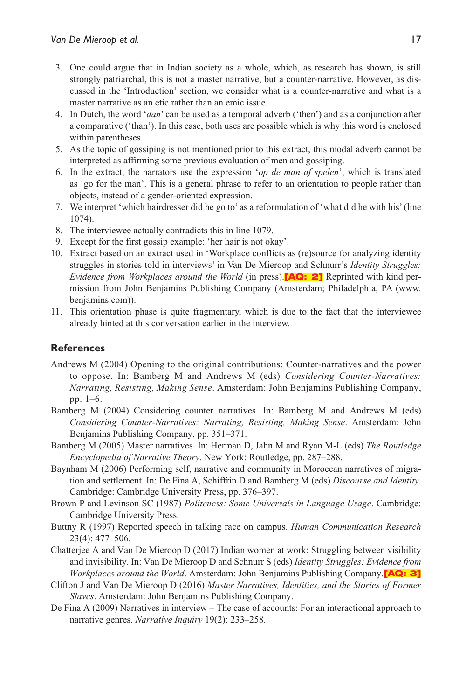- 3. One could argue that in Indian society as a whole, which, as research has shown, is still strongly patriarchal, this is not a master narrative, but a counter-narrative. However, as discussed in the 'Introduction' section, we consider what is a counter-narrative and what is a master narrative as an etic rather than an emic issue.
- 4. In Dutch, the word '*dan*' can be used as a temporal adverb ('then') and as a conjunction after a comparative ('than'). In this case, both uses are possible which is why this word is enclosed within parentheses.
- 5. As the topic of gossiping is not mentioned prior to this extract, this modal adverb cannot be interpreted as affirming some previous evaluation of men and gossiping.
- 6. In the extract, the narrators use the expression '*op de man af spelen*', which is translated as 'go for the man'. This is a general phrase to refer to an orientation to people rather than objects, instead of a gender-oriented expression.
- 7. We interpret 'which hairdresser did he go to' as a reformulation of 'what did he with his' (line 1074).
- 8. The interviewee actually contradicts this in line 1079.
- 9. Except for the first gossip example: 'her hair is not okay'.
- 10. Extract based on an extract used in 'Workplace conflicts as (re)source for analyzing identity struggles in stories told in interviews' in Van De Mieroop and Schnurr's *Identity Struggles: Evidence from Workplaces around the World* (in press).**[AQ: 2]** Reprinted with kind permission from John Benjamins Publishing Company (Amsterdam; Philadelphia, PA (www. benjamins.com)).
- 11. This orientation phase is quite fragmentary, which is due to the fact that the interviewee already hinted at this conversation earlier in the interview.

## **References**

- Andrews M (2004) Opening to the original contributions: Counter-narratives and the power to oppose. In: Bamberg M and Andrews M (eds) *Considering Counter-Narratives: Narrating, Resisting, Making Sense*. Amsterdam: John Benjamins Publishing Company, pp. 1–6.
- Bamberg M (2004) Considering counter narratives. In: Bamberg M and Andrews M (eds) *Considering Counter-Narratives: Narrating, Resisting, Making Sense*. Amsterdam: John Benjamins Publishing Company, pp. 351–371.
- Bamberg M (2005) Master narratives. In: Herman D, Jahn M and Ryan M-L (eds) *The Routledge Encyclopedia of Narrative Theory*. New York: Routledge, pp. 287–288.
- Baynham M (2006) Performing self, narrative and community in Moroccan narratives of migration and settlement. In: De Fina A, Schiffrin D and Bamberg M (eds) *Discourse and Identity*. Cambridge: Cambridge University Press, pp. 376–397.
- Brown P and Levinson SC (1987) *Politeness: Some Universals in Language Usage*. Cambridge: Cambridge University Press.
- Buttny R (1997) Reported speech in talking race on campus. *Human Communication Research* 23(4): 477–506.
- Chatterjee A and Van De Mieroop D (2017) Indian women at work: Struggling between visibility and invisibility. In: Van De Mieroop D and Schnurr S (eds) *Identity Struggles: Evidence from Workplaces around the World.* Amsterdam: John Benjamins Publishing Company.**[AQ: 3]**
- Clifton J and Van De Mieroop D (2016) *Master Narratives, Identities, and the Stories of Former Slaves*. Amsterdam: John Benjamins Publishing Company.
- De Fina A (2009) Narratives in interview The case of accounts: For an interactional approach to narrative genres. *Narrative Inquiry* 19(2): 233–258.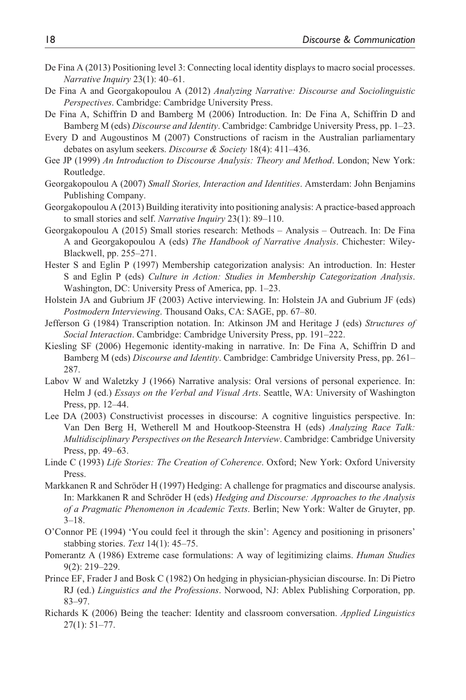- De Fina A (2013) Positioning level 3: Connecting local identity displays to macro social processes. *Narrative Inquiry* 23(1): 40–61.
- De Fina A and Georgakopoulou A (2012) *Analyzing Narrative: Discourse and Sociolinguistic Perspectives*. Cambridge: Cambridge University Press.
- De Fina A, Schiffrin D and Bamberg M (2006) Introduction. In: De Fina A, Schiffrin D and Bamberg M (eds) *Discourse and Identity*. Cambridge: Cambridge University Press, pp. 1–23.
- Every D and Augoustinos M (2007) Constructions of racism in the Australian parliamentary debates on asylum seekers. *Discourse & Society* 18(4): 411–436.
- Gee JP (1999) *An Introduction to Discourse Analysis: Theory and Method*. London; New York: Routledge.
- Georgakopoulou A (2007) *Small Stories, Interaction and Identities*. Amsterdam: John Benjamins Publishing Company.
- Georgakopoulou A (2013) Building iterativity into positioning analysis: A practice-based approach to small stories and self. *Narrative Inquiry* 23(1): 89–110.
- Georgakopoulou A (2015) Small stories research: Methods Analysis Outreach. In: De Fina A and Georgakopoulou A (eds) *The Handbook of Narrative Analysis*. Chichester: Wiley-Blackwell, pp. 255–271.
- Hester S and Eglin P (1997) Membership categorization analysis: An introduction. In: Hester S and Eglin P (eds) *Culture in Action: Studies in Membership Categorization Analysis*. Washington, DC: University Press of America, pp. 1–23.
- Holstein JA and Gubrium JF (2003) Active interviewing. In: Holstein JA and Gubrium JF (eds) *Postmodern Interviewing*. Thousand Oaks, CA: SAGE, pp. 67–80.
- Jefferson G (1984) Transcription notation. In: Atkinson JM and Heritage J (eds) *Structures of Social Interaction*. Cambridge: Cambridge University Press, pp. 191–222.
- Kiesling SF (2006) Hegemonic identity-making in narrative. In: De Fina A, Schiffrin D and Bamberg M (eds) *Discourse and Identity*. Cambridge: Cambridge University Press, pp. 261– 287.
- Labov W and Waletzky J (1966) Narrative analysis: Oral versions of personal experience. In: Helm J (ed.) *Essays on the Verbal and Visual Arts*. Seattle, WA: University of Washington Press, pp. 12–44.
- Lee DA (2003) Constructivist processes in discourse: A cognitive linguistics perspective. In: Van Den Berg H, Wetherell M and Houtkoop-Steenstra H (eds) *Analyzing Race Talk: Multidisciplinary Perspectives on the Research Interview*. Cambridge: Cambridge University Press, pp. 49–63.
- Linde C (1993) *Life Stories: The Creation of Coherence*. Oxford; New York: Oxford University Press.
- Markkanen R and Schröder H (1997) Hedging: A challenge for pragmatics and discourse analysis. In: Markkanen R and Schröder H (eds) *Hedging and Discourse: Approaches to the Analysis of a Pragmatic Phenomenon in Academic Texts*. Berlin; New York: Walter de Gruyter, pp.  $3 - 18$ .
- O'Connor PE (1994) 'You could feel it through the skin': Agency and positioning in prisoners' stabbing stories. *Text* 14(1): 45–75.
- Pomerantz A (1986) Extreme case formulations: A way of legitimizing claims. *Human Studies* 9(2): 219–229.
- Prince EF, Frader J and Bosk C (1982) On hedging in physician-physician discourse. In: Di Pietro RJ (ed.) *Linguistics and the Professions*. Norwood, NJ: Ablex Publishing Corporation, pp. 83–97.
- Richards K (2006) Being the teacher: Identity and classroom conversation. *Applied Linguistics* 27(1): 51–77.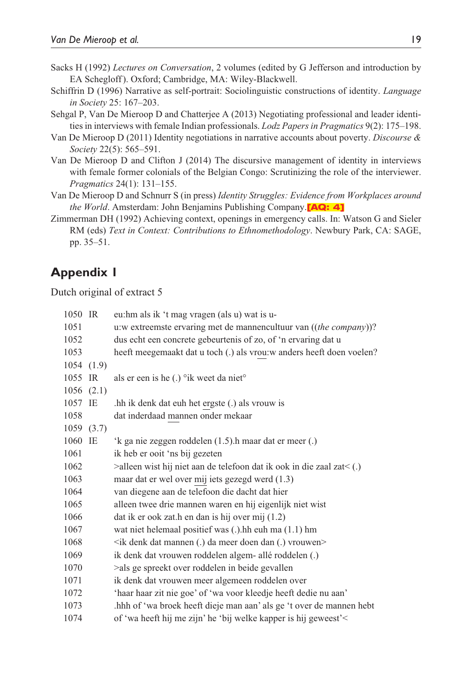- Sacks H (1992) *Lectures on Conversation*, 2 volumes (edited by G Jefferson and introduction by EA Schegloff ). Oxford; Cambridge, MA: Wiley-Blackwell.
- Schiffrin D (1996) Narrative as self-portrait: Sociolinguistic constructions of identity. *Language in Society* 25: 167–203.
- Sehgal P, Van De Mieroop D and Chatterjee A (2013) Negotiating professional and leader identities in interviews with female Indian professionals. *Lodz Papers in Pragmatics* 9(2): 175–198.
- Van De Mieroop D (2011) Identity negotiations in narrative accounts about poverty. *Discourse & Society* 22(5): 565–591.
- Van De Mieroop D and Clifton J (2014) The discursive management of identity in interviews with female former colonials of the Belgian Congo: Scrutinizing the role of the interviewer. *Pragmatics* 24(1): 131–155.
- Van De Mieroop D and Schnurr S (in press) *Identity Struggles: Evidence from Workplaces around the World*. Amsterdam: John Benjamins Publishing Company.<sup>[AQ: 4]</sup>
- Zimmerman DH (1992) Achieving context, openings in emergency calls. In: Watson G and Sieler RM (eds) *Text in Context: Contributions to Ethnomethodology*. Newbury Park, CA: SAGE, pp. 35–51.

## **Appendix 1**

Dutch original of extract 5

| 1050 IR   |       | eu:hm als ik 't mag vragen (als u) wat is u-                                      |
|-----------|-------|-----------------------------------------------------------------------------------|
| 1051      |       | u:w extreemste ervaring met de mannencultuur van ((the company))?                 |
| 1052      |       | dus echt een concrete gebeurtenis of zo, of 'n ervaring dat u                     |
| 1053      |       | heeft meegemaakt dat u toch (.) als vrou: w anders heeft doen voelen?             |
| 1054(1.9) |       |                                                                                   |
| 1055      | IR    | als er een is he $(.)$ °ik weet da niet°                                          |
| 1056      | (2.1) |                                                                                   |
| 1057      | IE    | .hh ik denk dat euh het ergste (.) als vrouw is                                   |
| 1058      |       | dat inderdaad mannen onder mekaar                                                 |
| 1059      | (3.7) |                                                                                   |
| 1060 IE   |       | 'k ga nie zeggen roddelen (1.5). h maar dat er meer (.)                           |
| 1061      |       | ik heb er ooit 'ns bij gezeten                                                    |
| 1062      |       | >alleen wist hij niet aan de telefoon dat ik ook in die zaal zat< (.)             |
| 1063      |       | maar dat er wel over mij iets gezegd werd (1.3)                                   |
| 1064      |       | van diegene aan de telefoon die dacht dat hier                                    |
| 1065      |       | alleen twee drie mannen waren en hij eigenlijk niet wist                          |
| 1066      |       | dat ik er ook zat.h en dan is hij over mij (1.2)                                  |
| 1067      |       | wat niet helemaal positief was (.).hh euh ma (1.1) hm                             |
| 1068      |       | <ik (.)="" da="" dan="" dat="" denk="" doen="" mannen="" meer="" vrouwen=""></ik> |
| 1069      |       | ik denk dat vrouwen roddelen algem- allé roddelen (.)                             |
| 1070      |       | >als ge spreekt over roddelen in beide gevallen                                   |
| 1071      |       | ik denk dat vrouwen meer algemeen roddelen over                                   |
| 1072      |       | 'haar haar zit nie goe' of 'wa voor kleedje heeft dedie nu aan'                   |
| 1073      |       | hh of 'wa broek heeft dieje man aan' als ge 't over de mannen hebt.               |
| 1074      |       | of 'wa heeft hij me zijn' he 'bij welke kapper is hij geweest'<                   |